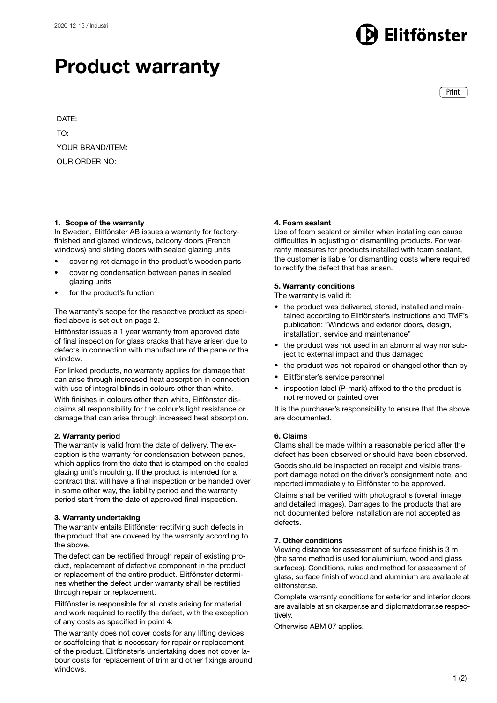## litfönster

## Product warranty

Print

DATE: TO: YOUR BRAND/ITEM: OUR ORDER NO:

## 1. Scope of the warranty

In Sweden, Elitfönster AB issues a warranty for factoryfinished and glazed windows, balcony doors (French windows) and sliding doors with sealed glazing units

- covering rot damage in the product's wooden parts
- covering condensation between panes in sealed glazing units
- for the product's function

The warranty's scope for the respective product as specified above is set out on page 2.

Elitfönster issues a 1 year warranty from approved date of final inspection for glass cracks that have arisen due to defects in connection with manufacture of the pane or the window.

For linked products, no warranty applies for damage that can arise through increased heat absorption in connection with use of integral blinds in colours other than white.

With finishes in colours other than white, Elitfönster disclaims all responsibility for the colour's light resistance or damage that can arise through increased heat absorption.

## 2. Warranty period

The warranty is valid from the date of delivery. The exception is the warranty for condensation between panes, which applies from the date that is stamped on the sealed glazing unit's moulding. If the product is intended for a contract that will have a final inspection or be handed over in some other way, the liability period and the warranty period start from the date of approved final inspection.

## 3. Warranty undertaking

The warranty entails Elitfönster rectifying such defects in the product that are covered by the warranty according to the above.

The defect can be rectified through repair of existing product, replacement of defective component in the product or replacement of the entire product. Elitfönster determines whether the defect under warranty shall be rectified through repair or replacement.

Elitfönster is responsible for all costs arising for material and work required to rectify the defect, with the exception of any costs as specified in point 4.

The warranty does not cover costs for any lifting devices or scaffolding that is necessary for repair or replacement of the product. Elitfönster's undertaking does not cover labour costs for replacement of trim and other fixings around windows.

## 4. Foam sealant

Use of foam sealant or similar when installing can cause difficulties in adjusting or dismantling products. For warranty measures for products installed with foam sealant, the customer is liable for dismantling costs where required to rectify the defect that has arisen.

## 5. Warranty conditions

The warranty is valid if:

- the product was delivered, stored, installed and maintained according to Elitfönster's instructions and TMF's publication: "Windows and exterior doors, design, installation, service and maintenance"
- the product was not used in an abnormal way nor subject to external impact and thus damaged
- the product was not repaired or changed other than by
- Elitfönster's service personnel
- inspection label (P-mark) affixed to the the product is not removed or painted over

It is the purchaser's responsibility to ensure that the above are documented.

## 6. Claims

Clams shall be made within a reasonable period after the defect has been observed or should have been observed.

Goods should be inspected on receipt and visible transport damage noted on the driver's consignment note, and reported immediately to Elitfönster to be approved.

Claims shall be verified with photographs (overall image and detailed images). Damages to the products that are not documented before installation are not accepted as defects.

## 7. Other conditions

Viewing distance for assessment of surface finish is 3 m (the same method is used for aluminium, wood and glass surfaces). Conditions, rules and method for assessment of glass, surface finish of wood and aluminium are available at elitfonster.se.

Complete warranty conditions for exterior and interior doors are available at snickarper.se and diplomatdorrar.se respectively.

Otherwise ABM 07 applies.